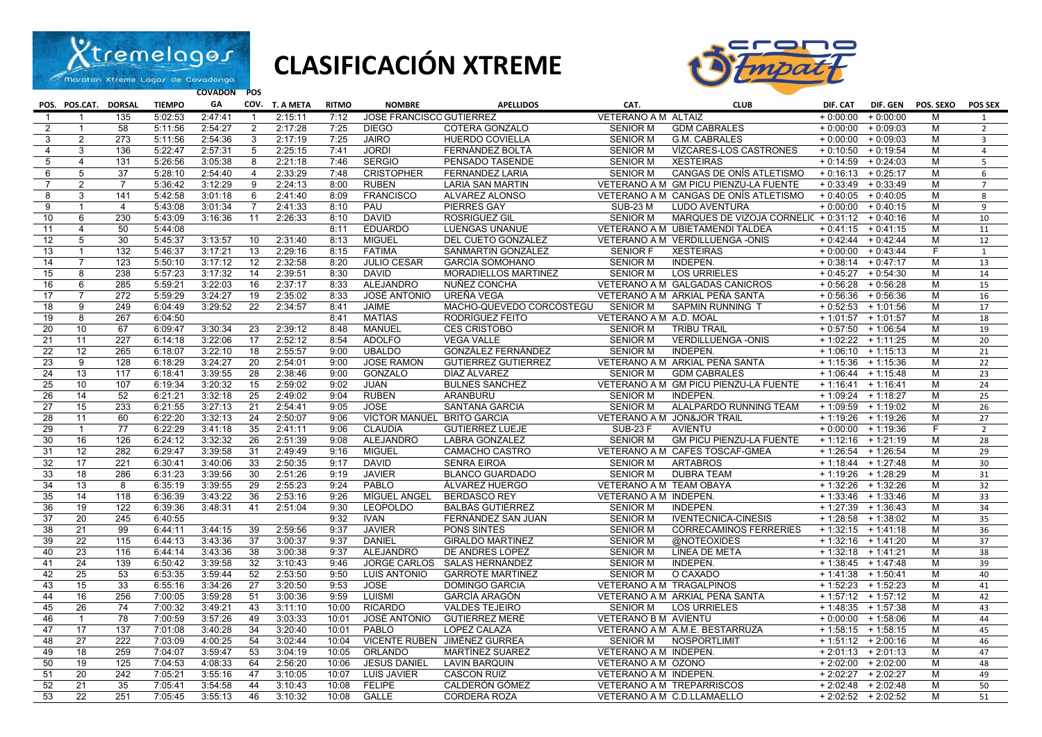

## **CLASIFICACIÓN XTREME**



**COVADON POS** 

|                 | POS. POS.CAT. DORSAL |                | <b>TIEMPO</b>      | GA                 |                 | COV. T. A META     | <b>RITMO</b> | <b>NOMBRE</b>                   | <b>APELLIDOS</b>                                 | CAT.                               | <b>CLUB</b>                                           | DIF. CAT              | DIF. GEN                                     | POS. SEXO | POS SEX        |
|-----------------|----------------------|----------------|--------------------|--------------------|-----------------|--------------------|--------------|---------------------------------|--------------------------------------------------|------------------------------------|-------------------------------------------------------|-----------------------|----------------------------------------------|-----------|----------------|
|                 |                      | 135            | 5:02:53            | 2:47:41            | $\mathbf{1}$    | 2:15:11            | 7:12         | <b>JOSE FRANCISCC GUTIERREZ</b> |                                                  | VETERANO A M ALTAIZ                |                                                       |                       | $+0.00:00 + 0.00:00$                         | м         | 1              |
| $\overline{2}$  | $\mathbf{1}$         | 58             | 5:11:56            | 2:54:27            | $\overline{2}$  | 2:17:28            | 7:25         | <b>DIEGO</b>                    | COTERA GONZALO                                   | <b>SENIOR M</b>                    | <b>GDM CABRALES</b>                                   |                       | $+0:00:00 + 0:09:03$                         | M         | 2              |
| 3               | $\overline{2}$       | 273            | 5:11:56            | 2:54:36            | 3               | 2:17:19            | 7:25         | <b>JAIRO</b>                    | <b>HUERDO COVIELLA</b>                           | <b>SENIOR M</b>                    | G.M. CABRALES                                         |                       | $+0:00:00 + 0:09:03$                         | M         | $\overline{3}$ |
| $\overline{4}$  | 3                    | 136            | 5:22:47            | 2:57:31            | 5               | 2:25:15            | 7:41         | <b>JORDI</b>                    | FERNÁNDEZ BOLTÁ                                  | <b>SENIOR M</b>                    | VÍZCARES-LOS CASTRONES                                |                       | $+0:10:50 + 0:19:54$                         | M         | $\overline{a}$ |
| $\sqrt{5}$      | $\overline{4}$       | 131            | 5:26:56            | 3:05:38            | 8               | 2:21:18            | 7:46         | <b>SERGIO</b>                   | PENSADO TASENDE                                  | <b>SENIOR M</b>                    | <b>XESTEIRAS</b>                                      |                       | $+0:14:59 + 0:24:03$                         | M         | $\overline{5}$ |
| 6               | 5                    | 37             | 5:28:10            | 2:54:40            | $\overline{4}$  | 2:33:29            | 7:48         | <b>CRISTOPHER</b>               | <b>FERNANDEZ LARIA</b>                           | <b>SENIOR M</b>                    | CANGAS DE ONÍS ATLETISMO                              | $+0:16:13 + 0:25:17$  |                                              | M         | 6              |
| $\overline{7}$  | $\overline{2}$       | $\overline{7}$ | 5:36:42            | 3:12:29            | 9               | 2:24:13            | 8:00         | <b>RUBEN</b>                    | <b>LARIA SAN MARTIN</b>                          |                                    | VETERANO A M GM PICU PIENZU-LA FUENTE                 |                       | $+0:33:49 + 0:33:49$                         | M         | $\overline{7}$ |
| 8               | 3                    | 141            | 5:42:58            | 3:01:18            | 6               | 2:41:40            | 8:09         | <b>FRANCISCO</b>                | ALVAREZ ALONSO                                   |                                    | VETERANO A M CANGAS DE ONÍS ATLETISMO                 | $+0:40:05 + 0:40:05$  |                                              | M         | 8              |
| 9               | $\mathbf{1}$         | $\overline{4}$ | 5:43:08            | 3:01:34            | $\overline{7}$  | 2:41:33            | 8:10         | PAU                             | <b>PIERRES GAY</b>                               | <b>SUB-23 M</b>                    | <b>LUDO AVENTURA</b>                                  |                       | $+0:00:00 + 0:40:15$                         | M         | 9              |
| 10              | 6                    | 230            | 5:43:09            | 3:16:36            | $\overline{11}$ | 2:26:33            | 8:10         | <b>DAVID</b>                    | <b>ROSRIGUEZ GIL</b>                             | <b>SENIOR M</b>                    | MARQUES DE VIZOJA CORNELI( + 0:31:12 + 0:40:16        |                       |                                              | M         | 10             |
| 11              | $\overline{4}$       | 50             | 5:44:08            |                    |                 |                    | 8:11         | <b>EDUARDO</b>                  | LUENGAS UNANUE                                   |                                    | VETERANO A M UBIETAMENDI TALDEA                       |                       | $+0:41:15 + 0:41:15$                         | M         | 11             |
| 12              | $5\overline{)}$      | 30             | 5:45:37            | 3:13:57            | 10              | 2:31:40            | 8:13         | <b>MIGUEL</b>                   | DEL CUETO GONZÁLEZ                               |                                    | VETERANO A M VERDILLUENGA -ONIS                       |                       | $+0.42:44 + 0.42:44$                         | M         | 12             |
| 13              | $\mathbf{1}$         | 132            | 5:46:37            | 3:17:21            | 13              | 2:29:16            | 8:15         | <b>FATIMA</b>                   | SANMARTIN GONZÁLEZ                               | <b>SENIOR F</b>                    | <b>XESTEIRAS</b>                                      |                       | $+0:00:00 + 0:43:44$                         | F         | 1              |
| 14              | $\overline{7}$       | 123            | 5:50:10            | 3:17:12            | 12              | 2:32:58            | 8:20         | <b>JULIO CESAR</b>              | <b>GARCÍA SOMOHANO</b>                           | <b>SENIOR M</b>                    | INDEPEN.                                              | $+0:38:14$ $+0:47:17$ |                                              | M         | 13             |
| 15              | 8                    | 238            | 5:57:23            | 3:17:32            | 14              | 2:39:51            | 8:30         | <b>DAVID</b>                    | MORADIELLOS MARTINEZ                             | <b>SENIOR M</b>                    | <b>LOS URRIELES</b>                                   |                       | $+0:45:27 + 0:54:30$                         | M         | 14             |
| 16              | 6                    | 285            | 5:59:21            | 3:22:03            | 16              | 2:37:17            | 8:33         | <b>ALEJANDRO</b>                | NUÑEZ CONCHA                                     |                                    | VETERANO A M GALGADAS CANICROS                        |                       | $+0:56:28 + 0:56:28$                         | M         | 15             |
| 17              | $\overline{7}$       | 272            | 5:59:29            | 3:24:27            | 19              | 2:35:02            | 8:33         | JOSÉ ANTONIO                    | UREÑA VEGA                                       |                                    | VETERANO A M ARKIAL PEÑA SANTA                        |                       | $+0:56:36 + 0:56:36$                         | M         | 16             |
| 18              | $\overline{9}$       | 249            | 6:04:49            | 3:29:52            | $\overline{22}$ | 2:34:57            | 8:41         | <b>JAIME</b>                    | MACHO-QUEVEDO CORCÓSTEGU                         | SENIOR M                           | SAPMIN RUNNING T                                      |                       | $+0:52:53$ + 1:01:56                         | M         | 17             |
| 19              | 8                    | 267            | 6:04:50            |                    |                 |                    | 8:41         | <b>MATÍAS</b>                   | RODRÍGUEZ FEITO                                  | VETERANO A M A.D. MOAL             |                                                       |                       | $+1:01:57$ + 1:01:57                         | M         | 18             |
| 20              | 10 <sup>°</sup>      | 67             | 6:09:47            | 3:30:34            | 23              | 2:39:12            | 8:48         | <b>MANUEL</b>                   | <b>CES CRISTOBO</b>                              | <b>SENIOR M</b>                    | <b>TRIBU TRAIL</b>                                    |                       | $+0:57:50 + 1:06:54$                         | M         | 19             |
| 21<br>22        | 11<br>12             | 227<br>265     | 6:14:18            | 3:22:06            | 17<br>18        | 2:52:12            | 8:54         | <b>ADOLFO</b><br><b>UBALDO</b>  | <b>VEGA VALLE</b>                                | <b>SENIOR M</b><br><b>SENIOR M</b> | <b>VERDILLUENGA -ONIS</b>                             |                       | $+1:02:22 + 1:11:25$                         | M<br>M    | 20             |
| 23              | 9                    | 128            | 6:18:07<br>6:18:29 | 3:22:10<br>3:24:27 | 20              | 2:55:57<br>2:54:01 | 9:00<br>9:00 | <b>JOSE RAMON</b>               | GONZÁLEZ FERNÁNDEZ<br><b>GUTIERREZ GUTIERREZ</b> |                                    | <b>INDEPEN.</b>                                       |                       | $+1:06:10 + 1:15:13$<br>$+1:15:36$ + 1:15:36 | M         | 21<br>22       |
| 24              | 13                   | 117            | 6:18:41            | 3:39:55            | 28              | 2:38:46            | 9:00         | <b>GONZALO</b>                  | DÍAZ ÁLVAREZ                                     | <b>SENIOR M</b>                    | VETERANO A M ARKIAL PEÑA SANTA<br><b>GDM CABRALES</b> |                       | $+1:06:44$ + 1:15:48                         | M         | 23             |
| 25              | 10 <sup>1</sup>      | 107            | 6:19:34            | 3:20:32            | 15              | 2:59:02            | 9:02         | <b>JUAN</b>                     | <b>BULNES SANCHEZ</b>                            |                                    | VETERANO A M GM PICU PIENZU-LA FUENTE                 | $+1:16:41$ + 1:16:41  |                                              | M         | 24             |
| 26              | 14                   | 52             | 6:21:21            | 3:32:18            | 25              | 2:49:02            | 9:04         | <b>RUBEN</b>                    | ARANBURU                                         | <b>SENIOR M</b>                    | <b>INDEPEN.</b>                                       |                       | $+1:09:24$ + 1:18:27                         | M         | 25             |
| 27              | 15                   | 233            | 6:21:55            | 3:27:13            | 21              | 2:54:41            | 9:05         | <b>JOSE</b>                     | SANTANA GARCIA                                   | <b>SENIOR M</b>                    | ALALPARDO RUNNING TEAM                                | $+1:09:59 + 1:19:02$  |                                              | M         | 26             |
| 28              | 11                   | 60             | 6:22:20            | 3:32:13            | 24              | 2:50:07            | 9:06         | VÍCTOR MANUEL BRITO GARCIA      |                                                  |                                    | VETERANO A M JON&JOR TRAIL                            |                       | $+1:19:26 + 1:19:26$                         | M         | 27             |
| 29              | $\mathbf{1}$         | 77             | 6:22:29            | 3:41:18            | 35              | 2:41:11            | 9:06         | <b>CLAUDIA</b>                  | <b>GUTIERREZ LUEJE</b>                           | <b>SUB-23 F</b>                    | <b>AVIENTU</b>                                        |                       | $+0:00:00 + 1:19:36$                         | F.        | 2              |
| $\overline{30}$ | 16                   | 126            | 6:24:12            | 3:32:32            | $\overline{26}$ | 2:51:39            | 9:08         | <b>ALEJANDRO</b>                | LABRA GONZALEZ                                   | <b>SENIOR M</b>                    | <b>GM PICU PIENZU-LA FUENTE</b>                       | $+1:12:16$ + 1:21:19  |                                              | M         | 28             |
| 31              | 12                   | 282            | 6:29:47            | 3:39:58            | 31              | 2:49:49            | 9:16         | <b>MIGUEL</b>                   | CAMACHO CASTRO                                   |                                    | VETERANO A M CAFES TOSCAF-GMEA                        |                       | $+1:26:54$ + 1:26:54                         | M         | 29             |
| 32              | 17                   | 221            | 6:30:41            | 3:40:06            | 33              | 2:50:35            | 9:17         | <b>DAVID</b>                    | <b>SENRA EIROA</b>                               | <b>SENIOR M</b>                    | <b>ARTABROS</b>                                       |                       | $+1:18:44$ + 1:27:48                         | M         | 30             |
| 33              | 18                   | 286            | 6:31:23            | 3:39:56            | 30              | 2:51:26            | 9:19         | <b>JAVIER</b>                   | <b>BLANCO GUARDADO</b>                           | <b>SENIOR M</b>                    | <b>DUBRA TEAM</b>                                     | $+1:19:26 + 1:28:29$  |                                              | M         | 31             |
| 34              | 13                   | 8              | 6:35:19            | 3:39:55            | 29              | 2:55:23            | 9:24         | <b>PABLO</b>                    | ÁLVAREZ HUERGO                                   | VETERANO A M TEAM OBAYA            |                                                       |                       | $+1:32:26$ + 1:32:26                         | M         | 32             |
| 35              | 14                   | 118            | 6:36:39            | 3:43:22            | 36              | 2:53:16            | 9:26         | MÍGUEL ANGEL                    | <b>BERDASCO REY</b>                              | VETERANO A M INDEPEN.              |                                                       |                       | $+1:33:46$ + 1:33:46                         | M         | 33             |
| 36              | 19                   | 122            | 6:39:36            | 3:48:31            | 41              | 2:51:04            | 9:30         | <b>LEOPOLDO</b>                 | <b>BALBÁS GUTIÉRREZ</b>                          | <b>SENIOR M</b>                    | INDEPEN.                                              |                       | $+1:27:39$ + 1:36:43                         | M         | 34             |
| 37              | $\overline{20}$      | 245            | 6:40:55            |                    |                 |                    | 9:32         | <b>IVAN</b>                     | FERNÁNDEZ SAN JUAN                               | <b>SENIOR M</b>                    | <b>IVENTECNICA-CINESIS</b>                            |                       | $+1:28:58$ + 1:38:02                         | M         | 35             |
| 38              | 21                   | 99             | 6:44:11            | 3:44:15            | 39              | 2:59:56            | 9:37         | <b>JAVIER</b>                   | <b>PONS SINTES</b>                               | <b>SENIOR M</b>                    | <b>CORRECAMINOS FERRERIES</b>                         | $+1:32:15$ + 1:41:18  |                                              | M         | 36             |
| 39              | $\overline{22}$      | 115            | 6:44:13            | 3:43:36            | 37              | 3:00:37            | 9:37         | <b>DANIEL</b>                   | <b>GIRALDO MARTINEZ</b>                          | <b>SENIOR M</b>                    | @NOTEOXIDES                                           |                       | $+1:32:16$ + 1:41:20                         | M         | 37             |
| 40              | $\overline{23}$      | 116            | 6:44:14            | 3:43:36            | 38              | 3:00:38            | 9:37         | <b>ALEJANDRO</b>                | DE ANDRES LOPEZ                                  | <b>SENIOR M</b>                    | LINEA DE META                                         |                       | $+1:32:18$ + 1:41:21                         | M         | 38             |
| 41              | 24                   | 139            | 6:50:42            | 3:39:58            | 32              | 3:10:43            | 9:46         | <b>JORGE CARLOS</b>             | SALAS HERNÁNDEZ                                  | <b>SENIOR M</b>                    | INDEPEN.                                              | $+1:38:45$ + 1:47:48  |                                              | M         | 39             |
| 42              | 25                   | 53             | 6:53:35            | 3:59:44            | 52              | 2:53:50            | 9:50         | <b>LUIS ANTONIO</b>             | <b>GARROTE MARTINEZ</b>                          | <b>SENIOR M</b>                    | O CAXADO                                              |                       | $+1:41:38$ + 1:50:41                         | M         | 40             |
| 43              | 15                   | 33             | 6:55:16            | 3:34:26            | 27              | 3:20:50            | 9:53         | <b>JOSE</b>                     | <b>DOMINGO GARCIA</b>                            | <b>VETERANO A M TRAGALPINOS</b>    |                                                       |                       | $+1:52:23$ + 1:52:23                         | M         | 41             |
| 44              | 16                   | 256            | 7:00:05            | 3:59:28            | 51              | 3:00:36            | 9:59         | <b>LUISMI</b>                   | <b>GARCÍA ARAGÓN</b>                             |                                    | VETERANO A M ARKIAL PEÑA SANTA                        |                       | $+1:57:12$ + 1:57:12                         | M         | 42             |
| 45              | $\overline{26}$      | 74             | 7:00:32            | 3:49:21            | 43              | 3:11:10            | 10:00        | <b>RICARDO</b>                  | <b>VALDES TEJEIRO</b>                            | <b>SENIOR M</b>                    | <b>LOS URRIELES</b>                                   |                       | $+1:48:35$ + 1:57:38                         | M         | 43             |
| 46              | $\mathbf{1}$         | 78             | 7:00:59            | 3:57:26            | 49              | 3:03:33            | 10:01        | JOSÉ ANTONIO                    | <b>GUTIERREZ MERÉ</b>                            | VETERANO B M AVIENTU               |                                                       |                       | $+0:00:00 + 1:58:06$                         | M         | 44             |
| 47              | 17                   | 137            | 7:01:08            | 3:40:28            | 34              | 3:20:40            | 10:01        | PABLO                           | LOPEZ CALAZA                                     |                                    | VETERANO A M A.M.E. BESTARRUZA                        |                       | $+1:58:15$ + 1:58:15                         | M         | 45             |
| 48              | 27                   | 222            | 7:03:09            | 4:00:25            | 54              | 3:02:44            | 10:04        |                                 | VICENTE RUBEN JIMÉNEZ GURREA                     | <b>SENIOR M</b>                    | NOSPORTLIMIT                                          |                       | $+1:51:12$ + 2:00:16                         | M         | 46             |
| 49              | 18                   | 259            | 7:04:07            | 3:59:47            | 53              | 3:04:19            | 10:05        | <b>ORLANDO</b>                  | MARTÍNEZ SUAREZ                                  | VETERANO A M INDEPEN.              |                                                       | $+2:01:13 + 2:01:13$  |                                              | M         | 47             |
| 50              | 19                   | 125            | 7:04:53            | 4:08:33            | 64              | 2:56:20            | 10:06        | <b>JESUS DANIEL</b>             | <b>LAVIN BARQUIN</b>                             | VETERANO A M OZONO                 |                                                       |                       | $+2:02:00 + 2:02:00$                         | М         | 48             |
| 51              | 20                   | 242            | 7:05:21            | 3:55:16            | 47              | 3:10:05            | 10:07        | <b>LUIS JAVIER</b>              | <b>CASCON RUIZ</b>                               | VETERANO A M INDEPEN.              |                                                       |                       | $+2:02:27$ $+2:02:27$                        | M         | 49             |
| 52              | 21                   | 35             | 7:05:41            | 3:54:58            | 44              | 3:10:43            | 10:08        | <b>FELIPE</b>                   | CALDERÓN GÓMEZ                                   |                                    | VETERANO A M TREPARRISCOS                             | $+2:02:48$ + 2:02:48  |                                              | M         | 50             |
| 53              | 22                   | 251            | 7:05:45            | 3:55:13            | 46              | 3:10:32            | 10:08        | <b>GALLE</b>                    | <b>CORDERA ROZA</b>                              |                                    | VETERANO A M C.D.LLAMAELLO                            | $+2:02:52$ + 2:02:52  |                                              | M         | 51             |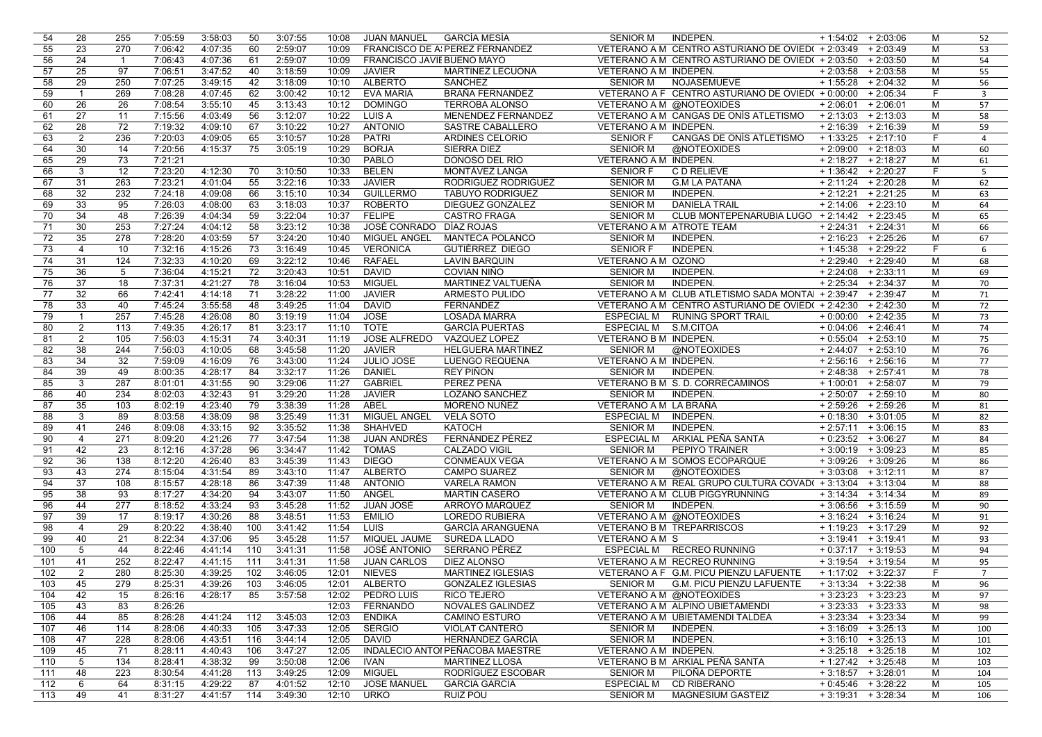| 54  | 28              | 255              | 7:05:59 | 3:58:03 | 50  | 3:07:55 | 10:08 | JUAN MANUEL                       | GARCÍA MESÍA                     | <b>SENIOR M</b>       | INDEPEN.                                                    | $+1:54:02 + 2:03:06$  |            | м  | 52                      |
|-----|-----------------|------------------|---------|---------|-----|---------|-------|-----------------------------------|----------------------------------|-----------------------|-------------------------------------------------------------|-----------------------|------------|----|-------------------------|
| 55  | 23              | 270              | 7:06:42 | 4:07:35 | 60  | 2:59:07 | 10:09 |                                   | FRANCISCO DE A PEREZ FERNANDEZ   |                       | VETERANO A M CENTRO ASTURIANO DE OVIED( + 2:03:49 + 2:03:49 |                       |            | м  | 53                      |
| 56  | 24              | $\overline{1}$   | 7:06:43 | 4:07:36 | 61  | 2:59:07 | 10:09 | <b>FRANCISCO JAVIE BUENO MAYO</b> |                                  |                       | VETERANO A M CENTRO ASTURIANO DE OVIED( + 2:03:50 + 2:03:50 |                       |            | М  | 54                      |
| 57  | 25              | 97               | 7:06:51 | 3:47:52 | 40  | 3:18:59 | 10:09 | <b>JAVIER</b>                     | MARTINEZ LECUONA                 | VETERANO A M INDEPEN. |                                                             | $+2:03:58$ + 2:03:58  |            | м  | 55                      |
| 58  | 29              | 250              | 7:07:25 | 3:49:15 | 42  | 3:18:09 | 10:10 | <b>ALBERTO</b>                    | <b>SANCHEZ</b>                   | <b>SENIOR M</b>       | NOJASEMUEVE                                                 | $+1:55:28$            | $+2:04:32$ | м  | 56                      |
| 59  | $\overline{1}$  | 269              | 7:08:28 | 4:07:45 | 62  | 3:00:42 | 10:12 | <b>EVA MARIA</b>                  | BRAÑA FERNANDEZ                  |                       | VETERANO A F CENTRO ASTURIANO DE OVIED( + 0:00:00 + 2:05:34 |                       |            | F. | $\overline{\mathbf{3}}$ |
| 60  | 26              | 26               | 7:08:54 | 3:55:10 | 45  | 3:13:43 | 10:12 | <b>DOMINGO</b>                    | <b>TERROBA ALONSO</b>            |                       | VETERANO A M @NOTEOXIDES                                    | $+2:06:01$ + 2:06:01  |            | M  | 57                      |
|     |                 |                  |         |         | 56  | 3:12:07 |       |                                   |                                  |                       | VETERANO A M CANGAS DE ONÍS ATLETISMO                       |                       |            |    |                         |
| 61  | 27              | 11               | 7:15:56 | 4:03:49 |     |         | 10:22 | LUIS A                            | MENENDEZ FERNANDEZ               |                       |                                                             | $+2:13:03 + 2:13:03$  |            | M  | 58                      |
| 62  | 28              | $\overline{72}$  | 7:19:32 | 4:09:10 | 67  | 3:10:22 | 10:27 | <b>ANTONIO</b>                    | SASTRE CABALLERO                 | VETERANO A M INDEPEN. |                                                             | $+2:16:39$ + 2:16:39  |            | м  | 59                      |
| 63  | $\overline{2}$  | 236              | 7:20:03 | 4:09:05 | 65  | 3:10:57 | 10:28 | <b>PATRI</b>                      | ARDINES CELORIO                  | <b>SENIOR F</b>       | CANGAS DE ONÍS ATLETISMO                                    | $+1:33:25$ + 2:17:10  |            | F. | $\overline{4}$          |
| 64  | 30              | 14               | 7:20:56 | 4:15:37 | 75  | 3:05:19 | 10:29 | <b>BORJA</b>                      | SIERRA DIEZ                      | <b>SENIOR M</b>       | @NOTEOXIDES                                                 | $+2:09:00$            | $+2:18:03$ | M  | 60                      |
| 65  | 29              | $\overline{73}$  | 7:21:21 |         |     |         | 10:30 | PABLO                             | DONOSO DEL RÍO                   | VETERANO A M INDEPEN. |                                                             | $+2:18:27$ + 2:18:27  |            | M  | 61                      |
| 66  | 3               | $\overline{12}$  | 7:23:20 | 4:12:30 | 70  | 3:10:50 | 10:33 | <b>BELEN</b>                      | MONTÁVEZ LANGA                   | <b>SENIOR F</b>       | C D RELIEVE                                                 | $+1:36:42$ + 2:20:27  |            | F. | 5                       |
| 67  | 31              | 263              | 7:23:21 | 4:01:04 | 55  | 3:22:16 | 10:33 | <b>JAVIER</b>                     | RODRIGUEZ RODRIGUEZ              | <b>SENIOR M</b>       | <b>G.M LA PATANA</b>                                        | $+2:11:24$ + 2:20:28  |            | M  | 62                      |
| 68  | 32              | 232              | 7:24:18 | 4:09:08 | 66  | 3:15:10 | 10:34 | <b>GUILLERMO</b>                  | <b>TABUYO RODRIGUEZ</b>          | <b>SENIOR M</b>       | <b>INDEPEN.</b>                                             | $+2:12:21$ $+2:21:25$ |            | M  | 63                      |
| 69  | 33              | 95               | 7:26:03 | 4:08:00 | 63  | 3:18:03 | 10:37 | <b>ROBERTO</b>                    | DIEGUEZ GONZALEZ                 | <b>SENIOR M</b>       | <b>DANIELA TRAIL</b>                                        | $+2:14:06$ + 2:23:10  |            | М  | 64                      |
| 70  | 34              | 48               | 7:26:39 | 4:04:34 | 59  | 3:22:04 | 10:37 | <b>FELIPE</b>                     | <b>CASTRO FRAGA</b>              | <b>SENIOR M</b>       | CLUB MONTEPENARUBIA LUGO + 2:14:42 + 2:23:45                |                       |            | M  | 65                      |
| 71  | 30              | 253              | 7:27:24 | 4:04:12 | 58  | 3:23:12 | 10:38 | JOSÉ CONRADO DÍAZ ROJAS           |                                  |                       | VETERANO A M ATROTE TEAM                                    | $+2:24:31$ + 2:24:31  |            | м  | 66                      |
| 72  | 35              | 278              | 7:28:20 | 4:03:59 | 57  | 3:24:20 | 10:40 | MIGUEL ANGEL                      | <b>MANTECA POLANCO</b>           | <b>SENIOR M</b>       | <b>INDEPEN.</b>                                             | $+2:16:23 + 2:25:26$  |            | М  | 67                      |
| 73  | $\overline{4}$  | 10               | 7:32:16 | 4:15:26 | 73  | 3:16:49 | 10:45 | <b>VERONICA</b>                   | GUTIÉRREZ DIEGO                  | <b>SENIOR F</b>       | INDEPEN.                                                    | $+1:45:38$ + 2:29:22  |            | F  | 6                       |
| 74  | 31              | 124              | 7:32:33 | 4:10:20 | 69  | 3:22:12 | 10:46 | <b>RAFAEL</b>                     | <b>LAVIN BARQUIN</b>             | VETERANO A M OZONO    |                                                             | $+2:29:40$ $+2:29:40$ |            | M  | 68                      |
| 75  | 36              | 5                | 7:36:04 | 4:15:21 | 72  | 3:20:43 | 10:51 | <b>DAVID</b>                      | COVIAN NIÑO                      | <b>SENIOR M</b>       | INDEPEN.                                                    | $+2:24:08$ + 2:33:11  |            | M  | 69                      |
| 76  | 37              | 18               |         |         | 78  |         | 10:53 |                                   | MARTINEZ VALTUEÑA                | <b>SENIOR M</b>       |                                                             | $+2:25:34$            |            | M  |                         |
|     |                 |                  | 7:37:31 | 4:21:27 |     | 3:16:04 |       | <b>MIGUEL</b>                     |                                  |                       | INDEPEN.                                                    |                       | $+2:34:37$ |    | 70                      |
| 77  | 32              | 66               | 7:42:41 | 4:14:18 | 71  | 3:28:22 | 11:00 | <b>JAVIER</b>                     | ARMESTO PULIDO                   |                       | VETERANO A M CLUB ATLETISMO SADA MONTA + 2:39:47 + 2:39:47  |                       |            | M  | 71                      |
| 78  | 33              | 40               | 7:45:24 | 3:55:58 | 48  | 3:49:25 | 11:04 | <b>DAVID</b>                      | FERNANDEZ                        |                       | VETERANO A M CENTRO ASTURIANO DE OVIED( + 2:42:30 + 2:42:30 |                       |            | м  | 72                      |
| 79  | $\mathbf{1}$    | 257              | 7:45:28 | 4:26:08 | 80  | 3:19:19 | 11:04 | <b>JOSE</b>                       | <b>LOSADA MARRA</b>              | <b>ESPECIAL M</b>     | <b>RUNING SPORT TRAIL</b>                                   | $+0:00:00 + 2:42:35$  |            | M  | 73                      |
| 80  | $\overline{2}$  | 113              | 7:49:35 | 4:26:17 | 81  | 3:23:17 | 11:10 | <b>TOTE</b>                       | <b>GARCÍA PUERTAS</b>            | ESPECIAL M S.M.CITOA  |                                                             | $+0:04:06$ + 2:46:41  |            | м  | 74                      |
| 81  | $\overline{2}$  | 105              | 7:56:03 | 4:15:31 | 74  | 3:40:31 | 11:19 | <b>JOSE ALFREDO</b>               | VAZQUEZ LOPEZ                    | VETERANO B M INDEPEN. |                                                             | $+0:55:04$ + 2:53:10  |            | M  | 75                      |
| 82  | 38              | 244              | 7:56:03 | 4:10:05 | 68  | 3:45:58 | 11:20 | <b>JAVIER</b>                     | <b>HELGUERA MARTINEZ</b>         | <b>SENIOR M</b>       | @NOTEOXIDES                                                 | $+2:44:07$ + 2:53:10  |            | M  | 76                      |
| 83  | 34              | 32               | 7:59:09 | 4:16:09 | 76  | 3:43:00 | 11:24 | <b>JULIO JOSE</b>                 | LUENGO REQUENA                   | VETERANO A M INDEPEN. |                                                             | $+2:56:16$ + 2:56:16  |            | м  | 77                      |
| 84  | 39              | 49               | 8:00:35 | 4:28:17 | 84  | 3:32:17 | 11:26 | <b>DANIEL</b>                     | <b>REY PIÑON</b>                 | <b>SENIOR M</b>       | INDEPEN.                                                    | $+2:48:38$ + 2:57:41  |            | м  | 78                      |
| 85  | 3               | 287              | 8:01:01 | 4:31:55 | 90  | 3:29:06 | 11:27 | <b>GABRIEL</b>                    | PEREZ PEÑA                       |                       | VETERANO B M S. D. CORRECAMINOS                             | $+1:00:01$ + 2:58:07  |            | M  | 79                      |
| 86  | 40              | 234              | 8:02:03 | 4:32:43 | 91  | 3:29:20 | 11:28 | <b>JAVIER</b>                     | LOZANO SANCHEZ                   | <b>SENIOR M</b>       | <b>INDEPEN.</b>                                             | $+2:50:07$ + 2:59:10  |            | M  | 80                      |
| 87  | 35              | 103              | 8:02:19 | 4:23:40 | 79  | 3:38:39 | 11:28 | ABEL                              | MORENO NUÑEZ                     | VETERANO A M LA BRAÑA |                                                             | $+2:59:26$ + 2:59:26  |            | м  | 81                      |
| 88  | 3               | 89               | 8:03:58 | 4:38:09 | 98  | 3:25:49 | 11:31 | MIGUEL ANGEL                      | <b>VELA SOTO</b>                 | <b>ESPECIAL M</b>     | INDEPEN.                                                    | $+0:18:30 + 3:01:05$  |            | M  | 82                      |
| 89  | 41              | 246              | 8:09:08 | 4:33:15 | 92  | 3:35:52 | 11:38 | <b>SHAHVED</b>                    | <b>KATOCH</b>                    | <b>SENIOR M</b>       | INDEPEN.                                                    | $+2:57:11 + 3:06:15$  |            | M  | 83                      |
| 90  | $\overline{4}$  | 271              | 8:09:20 | 4:21:26 | 77  | 3:47:54 | 11:38 | JUAN ANDRÉS                       | FERNÁNDEZ PÉREZ                  | <b>ESPECIAL M</b>     | ARKIAL PEÑA SANTA                                           | $+0:23:52$ $+3:06:27$ |            | м  | 84                      |
| 91  | 42              | 23               | 8:12:16 | 4:37:28 | 96  | 3:34:47 | 11:42 | <b>TOMAS</b>                      | <b>CALZADO VIGIL</b>             | <b>SENIOR M</b>       | PEPIYO TRAINER                                              | $+3:00:19$ $+3:09:23$ |            | M  | 85                      |
| 92  | 36              | 138              | 8:12:20 | 4:26:40 | 83  | 3:45:39 | 11:43 | <b>DIEGO</b>                      | <b>CONMEAUX VEGA</b>             |                       | VETERANO A M SOMOS ECOPARQUE                                | $+3:09:26$ $+3:09:26$ |            | м  | 86                      |
| 93  | 43              | 274              | 8:15:04 | 4:31:54 | 89  | 3:43:10 | 11:47 | <b>ALBERTO</b>                    | <b>CAMPO SUAREZ</b>              | <b>SENIOR M</b>       | @NOTEOXIDES                                                 | $+3:03:08$            | $+3:12:11$ | M  | 87                      |
| 94  | 37              | 108              |         | 4:28:18 | 86  | 3:47:39 | 11:48 | <b>ANTONIO</b>                    | <b>VARELA RAMON</b>              |                       | VETERANO A M REAL GRUPO CULTURA COVAD(+3:13:04              |                       | $+3:13:04$ | M  |                         |
|     |                 |                  | 8:15:57 |         |     |         |       |                                   |                                  |                       |                                                             |                       |            |    | 88                      |
| 95  | 38              | 93               | 8:17:27 | 4:34:20 | 94  | 3:43:07 | 11:50 | ANGEL                             | <b>MARTIN CASERO</b>             |                       | VETERANO A M CLUB PIGGYRUNNING                              | $+3:14:34$ $+3:14:34$ |            | M  | 89                      |
| 96  | 44              | $\overline{277}$ | 8:18:52 | 4:33:24 | 93  | 3:45:28 | 11:52 | JUAN JOSÉ                         | ARROYO MARQUEZ                   | <b>SENIOR M</b>       | <b>INDEPEN.</b>                                             | $+3:06:56$ $+3:15:59$ |            | м  | 90                      |
| 97  | 39              | 17               | 8:19:17 | 4:30:26 | 88  | 3:48:51 | 11:53 | <b>EMILIO</b>                     | <b>LOREDO RUBIERA</b>            |                       | VETERANO A M @NOTEOXIDES                                    | $+3:16:24$ $+3:16:24$ |            | M  | 91                      |
| 98  | $\overline{4}$  | 29               | 8:20:22 | 4:38:40 | 100 | 3:41:42 | 11:54 | LUIS                              | <b>GARCÍA ARANGUENA</b>          |                       | VETERANO B M TREPARRISCOS                                   | $+1:19:23 + 3:17:29$  |            | M  | 92                      |
| 99  | 40              | 21               | 8:22:34 | 4:37:06 | 95  | 3:45:28 | 11:57 | MIQUEL JAUME                      | <b>SUREDA LLADO</b>              | VETERANO A M S        |                                                             | $+3:19:41$ $+3:19:41$ |            | M  | 93                      |
| 100 | 5               | 44               | 8:22:46 | 4:41:14 | 110 | 3:41:31 | 11:58 | <b>JOSÉ ANTONIO</b>               | SERRANO PÉREZ                    |                       | ESPECIAL M RECREO RUNNING                                   | $+0:37:17$ $+3:19:53$ |            | M  | 94                      |
| 101 | 41              | 252              | 8:22:47 | 4:41:15 | 111 | 3:41:31 | 11:58 | <b>JUAN CARLOS</b>                | <b>DIEZ ALONSO</b>               |                       | VETERANO A M RECREO RUNNING                                 | $+3:19:54$ $+3:19:54$ |            | M  | 95                      |
| 102 | $\overline{2}$  | 280              | 8:25:30 | 4:39:25 | 102 | 3:46:05 | 12:01 | <b>NIEVES</b>                     | <b>MARTINEZ IGLESIAS</b>         |                       | VETERANO A F G.M. PICU PIENZU LAFUENTE                      | $+1:17:02 + 3:22:37$  |            | F. | $\overline{7}$          |
| 103 | 45              | 279              | 8:25:31 | 4:39:26 | 103 | 3:46:05 | 12:01 | <b>ALBERTO</b>                    | <b>GONZALEZ IGLESIAS</b>         | <b>SENIOR M</b>       | G.M. PICU PIENZU LAFUENTE                                   | $+3:13:34$ $+3:22:38$ |            | M  | 96                      |
| 104 | 42              | 15               | 8:26:16 | 4:28:17 | 85  | 3:57:58 |       | 12:02 PEDRO LUIS                  | RICO TEJERO                      |                       | VETERANO A M @NOTEOXIDES                                    | $+3:23:23 + 3:23:23$  |            | м  | 97                      |
| 105 | 43              | 83               | 8:26:26 |         |     |         | 12:03 | <b>FERNANDO</b>                   | NOVALES GALINDEZ                 |                       | VETERANO A M ALPINO UBIETAMENDI                             | $+3:23:33 + 3:23:33$  |            | М  | 98                      |
| 106 | 44              | 85               | 8:26:28 | 4:41:24 | 112 | 3:45:03 | 12:03 | <b>ENDIKA</b>                     | <b>CAMINO ESTURO</b>             |                       | VETERANO A M UBIETAMENDI TALDEA                             | $+3:23:34$ $+3:23:34$ |            | м  | 99                      |
| 107 | 46              | 114              | 8:28:06 | 4:40:33 | 105 | 3:47:33 | 12:05 | <b>SERGIO</b>                     | <b>VIOLAT CANTERO</b>            | <b>SENIOR M</b>       | INDEPEN.                                                    | $+3:16:09 + 3:25:13$  |            | М  | 100                     |
| 108 | 47              | 228              | 8:28:06 | 4:43:51 | 116 | 3:44:14 | 12:05 | <b>DAVID</b>                      | HERNÁNDEZ GARCÍA                 | <b>SENIOR M</b>       | <b>INDEPEN.</b>                                             | $+3:16:10 + 3:25:13$  |            | м  | 101                     |
| 109 | 45              | 71               | 8:28:11 | 4:40:43 | 106 | 3:47:27 | 12:05 |                                   | INDALECIO ANTOI PEÑACOBA MAESTRE | VETERANO A M INDEPEN. |                                                             | $+3:25:18$ + 3:25:18  |            | М  | 102                     |
| 110 | $5\phantom{.0}$ | 134              | 8:28:41 | 4:38:32 | 99  | 3:50:08 | 12:06 | <b>IVAN</b>                       | <b>MARTINEZ LLOSA</b>            |                       | VETERANO B M ARKIAL PEÑA SANTA                              | $+1:27:42$ $+3:25:48$ |            | м  | 103                     |
| 111 | 48              | 223              | 8:30:54 | 4:41:28 | 113 | 3:49:25 | 12:09 | <b>MIGUEL</b>                     | RODRÍGUEZ ESCOBAR                | <b>SENIOR M</b>       | PILOÑA DEPORTE                                              | $+3:18:57$ + 3:28:01  |            | м  | 104                     |
| 112 | 6               | 64               | 8:31:15 | 4:29:22 | 87  | 4:01:52 | 12:10 | <b>JOSE MANUEL</b>                | <b>GARCIA GARCIA</b>             | <b>ESPECIAL M</b>     | <b>CD RIBERANO</b>                                          | $+0:45:46$ $+3:28:22$ |            | м  | 105                     |
|     |                 |                  |         |         |     |         |       |                                   | <b>RUIZ POU</b>                  | <b>SENIOR M</b>       | MAGNESIUM GASTEIZ                                           | $+3:19:31$ + 3:28:34  |            |    |                         |
| 113 | 49              | 41               | 8:31:27 | 4:41:57 | 114 | 3:49:30 | 12:10 | <b>URKO</b>                       |                                  |                       |                                                             |                       |            | м  | 106                     |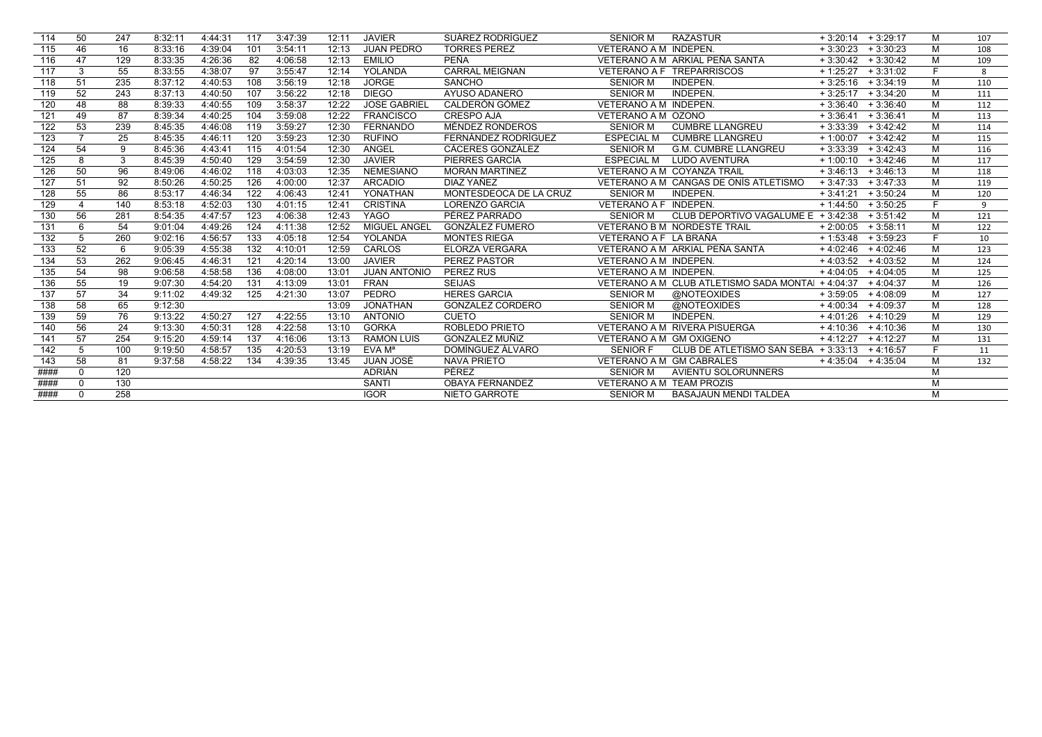| 114  | 50             | 247 | 8:32:1  | 4:44:31 | 117 | 3:47:39 | 12:11 | <b>JAVIER</b>       | SUÁREZ RODRÍGUEZ        | <b>SENIOR M</b>                 | <b>RAZASTUR</b>                         | $+3:20:14$ $+3:29:17$ |                       | м  | 107 |
|------|----------------|-----|---------|---------|-----|---------|-------|---------------------|-------------------------|---------------------------------|-----------------------------------------|-----------------------|-----------------------|----|-----|
| 115  | 46             | 16  | 8:33:16 | 4:39:04 | 101 | 3:54:11 | 12:13 | <b>JUAN PEDRO</b>   | <b>TORRES PEREZ</b>     | VETERANO A M INDEPEN.           |                                         | $+3:30:23$            | $+3:30:23$            | M  | 108 |
| 116  | 47             | 129 | 8:33:35 | 4:26:36 | 82  | 4:06:58 | 12:13 | <b>EMILIO</b>       | <b>PEÑA</b>             |                                 | VETERANO A M ARKIAL PEÑA SANTA          |                       | $+3:30:42$ $+3:30:42$ | M  | 109 |
| 117  | 3              | 55  | 8:33:55 | 4:38:07 | 97  | 3:55:47 | 12:14 | <b>YOLANDA</b>      | <b>CARRAL MEIGNAN</b>   |                                 | VETERANO A F TREPARRISCOS               | $+1:25:27$            | $+3:31:02$            |    | 8   |
| 118  | 51             | 235 | 8:37:12 | 4:40:53 | 108 | 3:56:19 | 12:18 | <b>JORGE</b>        | <b>SANCHO</b>           | <b>SENIOR M</b>                 | <b>INDEPEN.</b>                         |                       | $+3:25:16$ $+3:34:19$ | M  | 110 |
| 119  | 52             | 243 | 8:37:13 | 4:40:50 | 107 | 3:56:22 | 12:18 | <b>DIEGO</b>        | AYUSO ADANERO           | <b>SENIOR M</b>                 | INDEPEN.                                |                       | $+3:25:17$ $+3:34:20$ | M  | 111 |
| 120  | 48             | 88  | 8:39:33 | 4:40:55 | 109 | 3:58:37 | 12:22 | <b>JOSE GABRIEL</b> | CALDERÓN GÓMEZ          | VETERANO A M INDEPEN.           |                                         |                       | $+3:36:40 + 3:36:40$  | м  | 112 |
| 121  | 49             | 87  | 8:39:34 | 4:40:25 | 104 | 3:59:08 | 12:22 | <b>FRANCISCO</b>    | CRESPO AJA              | VETERANO A M OZONO              |                                         | $+3:36:41$            | $+3:36:41$            | M  | 113 |
| 122  | 53             | 239 | 8:45:35 | 4:46:08 | 119 | 3:59:27 | 12:30 | <b>FERNANDO</b>     | MÉNDEZ RONDEROS         | <b>SENIOR M</b>                 | <b>CUMBRE LLANGREU</b>                  | $+3:33:39$            | $+3:42:42$            | M  | 114 |
| 123  | $\overline{7}$ | 25  | 8:45:35 | 4:46:11 | 120 | 3:59:23 | 12:30 | <b>RUFINO</b>       | FERNÁNDEZ RODRÍGUEZ     | <b>ESPECIAL M</b>               | <b>CUMBRE LLANGREU</b>                  | $+1:00:07$            | $+3:42:42$            | м  | 115 |
| 124  | 54             | 9   | 8:45:36 | 4:43:41 | 115 | 4:01:54 | 12:30 | <b>ANGEL</b>        | CÁCERES GONZÁLEZ        | <b>SENIOR M</b>                 | <b>G.M. CUMBRE LLANGREU</b>             | $+3:33:39$            | $+3:42:43$            | M  | 116 |
| 125  | 8              | 3   | 8:45:39 | 4:50:40 | 129 | 3:54:59 | 12:30 | <b>JAVIER</b>       | PIERRES GARCÍA          | <b>ESPECIAL M</b>               | LUDO AVENTURA                           | $+1:00:10$            | $+3:42:46$            | м  | 117 |
| 126  | 50             | 96  | 8:49:06 | 4:46:02 | 118 | 4:03:03 | 12:35 | <b>NEMESIANO</b>    | <b>MORAN MARTINEZ</b>   |                                 | VETERANO A M COYANZA TRAIL              | $+3:46:13$            | $+3:46:13$            | м  | 118 |
| 127  | 51             | 92  | 8:50:26 | 4:50:25 | 126 | 4:00:00 | 12:37 | <b>ARCADIO</b>      | DIAZ YAÑEZ              |                                 | VETERANO A M CANGAS DE ONÍS ATLETISMO   | $+3:47:33$            | $+3:47:33$            | м  | 119 |
| 128  | 55             | 86  | 8:53:17 | 4:46:34 | 122 | 4:06:43 | 12:41 | YONATHAN            | MONTESDEOCA DE LA CRUZ  | <b>SENIOR M</b>                 | INDEPEN.                                | $+3:41:21$            | $+3:50:24$            | м  | 120 |
| 129  |                | 140 | 8:53:18 | 4:52:03 | 130 | 4:01:15 | 12:41 | <b>CRISTINA</b>     | <b>LORENZO GARCIA</b>   | VETERANO A F INDEPEN.           |                                         | $+1:44:50$            | $+3:50:25$            | F. | 9   |
| 130  | 56             | 281 | 8:54:35 | 4:47:57 | 123 | 4:06:38 | 12:43 | <b>YAGO</b>         | PÉREZ PARRADO           | <b>SENIOR M</b>                 | CLUB DEPORTIVO VAGALUME $E + 3:42:38$   |                       | $+3:51:42$            | м  | 121 |
| 131  | 6              | 54  | 9:01:04 | 4:49:26 | 124 | 4:11:38 | 12:52 | MIGUEL ANGEL        | <b>GONZÁLEZ FUMERO</b>  |                                 | <b>VETERANO B M NORDESTE TRAIL</b>      | $+2:00:05$            | $+3:58:11$            | м  | 122 |
| 132  | 5              | 260 | 9:02:16 | 4:56:57 | 133 | 4:05:18 | 12:54 | YOLANDA             | <b>MONTES RIEGA</b>     | VETERANO A F LA BRAÑA           |                                         | $+1:53:48$            | $+3:59:23$            |    | 10  |
| 133  | 52             | 6   | 9:05:39 | 4:55:38 | 132 | 4:10:01 | 12:59 | <b>CARLOS</b>       | <b>ELORZA VERGARA</b>   |                                 | VETERANO A M ARKIAL PEÑA SANTA          | $+4:02:46$            | $+4:02:46$            | м  | 123 |
| 134  | 53             | 262 | 9:06:45 | 4:46:31 | 121 | 4:20:14 | 13:00 | <b>JAVIER</b>       | PEREZ PASTOR            | VETERANO A M INDEPEN.           |                                         | $+4:03:52$            | $+4:03:52$            | M  | 124 |
| 135  | 54             | 98  | 9:06:58 | 4:58:58 | 136 | 4:08:00 | 13:01 | <b>JUAN ANTONIO</b> | PEREZ RUS               | VETERANO A M INDEPEN.           |                                         | $+4:04:05$            | $+4:04:05$            | м  | 125 |
| 136  | 55             | 19  | 9:07:30 | 4:54:20 | 131 | 4:13:09 | 13:01 | <b>FRAN</b>         | <b>SEIJAS</b>           |                                 | VETERANO A M CLUB ATLETISMO SADA MONTAL | $+4:04:37$            | $+4:04:37$            | м  | 126 |
| 137  | 57             | 34  | 9:11:02 | 4:49:32 | 125 | 4:21:30 | 13:07 | PEDRO               | <b>HERES GARCIA</b>     | <b>SENIOR M</b>                 | @NOTEOXIDES                             | $+3:59:05$ $+4:08:09$ |                       | м  | 127 |
| 138  | 58             | 65  | 9:12:30 |         |     |         | 13:09 | <b>JONATHAN</b>     | <b>GONZALEZ CORDERO</b> | <b>SENIOR M</b>                 | @NOTEOXIDES                             | $+4:00:34$            | $+4:09:37$            | м  | 128 |
| 139  | 59             | 76  | 9:13:22 | 4:50:27 | 127 | 4:22:55 | 13:10 | <b>ANTONIO</b>      | <b>CUETO</b>            | <b>SENIOR M</b>                 | INDEPEN.                                | $+4:01:26$            | $+4:10:29$            | M  | 129 |
| 140  | 56             | 24  | 9:13:30 | 4:50:31 | 128 | 4:22:58 | 13:10 | <b>GORKA</b>        | ROBLEDO PRIETO          |                                 | VETERANO A M RIVERA PISUERGA            | $+4:10:36$            | $+4:10:36$            | M  | 130 |
| 141  | 57             | 254 | 9:15:20 | 4:59:14 | 137 | 4:16:06 | 13:13 | <b>RAMON LUIS</b>   | GONZALEZ MUÑIZ          | VETERANO A M GM OXIGENO         |                                         | $+4:12:27$ $+4:12:27$ |                       | м  | 131 |
| 142  | 5              | 100 | 9:19:50 | 4:58:57 | 135 | 4:20:53 | 13:19 | EVA M <sup>a</sup>  | DOMÍNGUEZ ÁLVARO        | <b>SENIOR F</b>                 | CLUB DE ATLETISMO SAN SEBA + 3:33:13    |                       | + 4:16:57             | F. | 11  |
| 143  | 58             | 81  | 9:37:58 | 4:58:22 | 134 | 4:39:35 | 13:45 | JUAN JOSÉ           | <b>NAVA PRIETO</b>      | VETERANO A M GM CABRALES        |                                         | $+4:35:04$ + 4:35:04  |                       | м  | 132 |
| #### | $\Omega$       | 120 |         |         |     |         |       | <b>ADRIÁN</b>       | PÉREZ                   | <b>SENIOR M</b>                 | AVIENTU SOLORUNNERS                     |                       |                       | M  |     |
| #### | $\Omega$       | 130 |         |         |     |         |       | <b>SANTI</b>        | <b>OBAYA FERNANDEZ</b>  | <b>VETERANO A M TEAM PROZIS</b> |                                         |                       |                       | M  |     |
| #### | $\Omega$       | 258 |         |         |     |         |       | <b>IGOR</b>         | <b>NIETO GARROTE</b>    | <b>SENIOR M</b>                 | <b>BASAJAUN MENDI TALDEA</b>            |                       |                       | M  |     |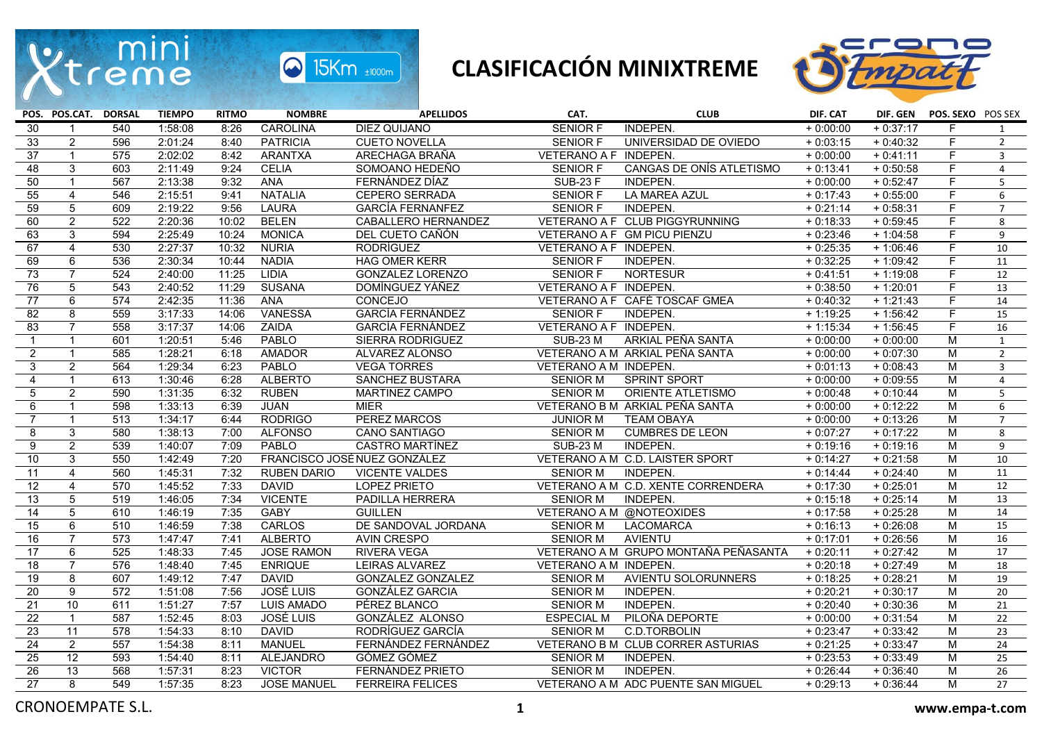

## **CLASIFICACIÓN MINIXTREME**



|                 | POS. POS.CAT. DORSAL |                  | <b>TIEMPO</b> | <b>RITMO</b> | <b>NOMBRE</b>      | <b>APELLIDOS</b>             | CAT.                     | <b>CLUB</b>                          | DIF. CAT   |            | DIF. GEN POS. SEXO POS SEX |                 |
|-----------------|----------------------|------------------|---------------|--------------|--------------------|------------------------------|--------------------------|--------------------------------------|------------|------------|----------------------------|-----------------|
| 30              |                      | 540              | 1:58:08       | 8:26         | CAROLINA           | DIEZ QUIJANO                 | <b>SENIOR F</b>          | INDEPEN.                             | $+0:00:00$ | $+0:37:17$ | F.                         | $\mathbf{1}$    |
| 33              | $\overline{2}$       | 596              | 2:01:24       | 8:40         | <b>PATRICIA</b>    | <b>CUETO NOVELLA</b>         | <b>SENIOR F</b>          | UNIVERSIDAD DE OVIEDO                | $+0:03:15$ | $+0:40:32$ | F.                         | $\overline{2}$  |
| $\overline{37}$ | $\mathbf{1}$         | 575              | 2:02:02       | 8:42         | <b>ARANTXA</b>     | ARECHAGA BRAÑA               | VETERANO A F INDEPEN.    |                                      | $+0:00:00$ | $+0:41:11$ | F                          | $\mathbf{3}$    |
| $\overline{48}$ | 3                    | 603              | 2:11:49       | 9:24         | <b>CELIA</b>       | SOMOANO HEDEÑO               | <b>SENIOR F</b>          | CANGAS DE ONÍS ATLETISMO             | $+0:13:41$ | $+0:50:58$ | F                          | $\overline{4}$  |
| 50              | $\mathbf{1}$         | 567              | 2:13:38       | 9:32         | ANA                | FERNÁNDEZ DÍAZ               | <b>SUB-23 F</b>          | INDEPEN.                             | $+0:00:00$ | $+0:52:47$ | F.                         | 5               |
| 55              | 4                    | 546              | 2:15:51       | 9:41         | <b>NATALIA</b>     | <b>CEPERO SERRADA</b>        | <b>SENIOR F</b>          | LA MAREA AZUL                        | $+0:17:43$ | $+0.55:00$ | F.                         | 6               |
| 59              | $\overline{5}$       | 609              | 2:19:22       | 9:56         | <b>LAURA</b>       | <b>GARCÍA FERNANFEZ</b>      | <b>SENIOR F</b>          | INDEPEN.                             | $+0:21:14$ | $+0.58:31$ | F                          | $\overline{7}$  |
| 60              | $\overline{2}$       | 522              | 2:20:36       | 10:02        | <b>BELEN</b>       | CABALLERO HERNANDEZ          |                          | VETERANO A F CLUB PIGGYRUNNING       | $+0:18:33$ | $+0.59:45$ | $\overline{F}$             | 8               |
| 63              | 3                    | 594              | 2:25:49       | 10:24        | <b>MONICA</b>      | DEL CUETO CAÑÓN              |                          | VETERANO A F GM PICU PIENZU          | $+0:23:46$ | $+1:04:58$ | F.                         | 9               |
| 67              | $\overline{4}$       | 530              | 2:27:37       | 10:32        | <b>NURIA</b>       | <b>RODRÍGUEZ</b>             | VETERANO A F INDEPEN.    |                                      | $+0:25:35$ | $+1:06:46$ | E                          | 10              |
| 69              | 6                    | 536              | 2:30:34       | 10:44        | <b>NADIA</b>       | <b>HAG OMER KERR</b>         | <b>SENIOR F</b>          | INDEPEN.                             | $+0:32:25$ | $+1:09:42$ | F.                         | 11              |
| $\overline{73}$ | $\overline{7}$       | 524              | 2:40:00       | 11:25        | <b>LIDIA</b>       | <b>GONZALEZ LORENZO</b>      | <b>SENIOR F</b>          | <b>NORTESUR</b>                      | $+0:41:51$ | $+1:19:08$ | F                          | 12              |
| 76              | 5                    | 543              | 2:40:52       | 11:29        | <b>SUSANA</b>      | DOMÍNGUEZ YÁÑEZ              | VETERANO A F INDEPEN.    |                                      | $+0:38:50$ | $+1:20:01$ | F                          | 13              |
| $\overline{77}$ | $\overline{6}$       | 574              | 2:42:35       | 11:36        | <b>ANA</b>         | <b>CONCEJO</b>               |                          | VETERANO A F CAFÉ TOSCAF GMEA        | $+0.40:32$ | $+1:21:43$ | E                          | 14              |
| 82              | 8                    | 559              | 3:17:33       | 14:06        | <b>VANESSA</b>     | <b>GARCÍA FERNÁNDEZ</b>      | <b>SENIOR F</b>          | INDEPEN.                             | $+1:19:25$ | $+1:56:42$ | F.                         | 15              |
| 83              | $\overline{7}$       | 558              | 3:17:37       | 14:06        | ZAIDA              | <b>GARCÍA FERNÁNDEZ</b>      | VETERANO A F INDEPEN.    |                                      | $+1:15:34$ | $+1:56:45$ | F                          | 16              |
| $\mathbf{1}$    | $\mathbf{1}$         | 601              | 1:20:51       | 5:46         | PABLO              | SIERRA RODRIGUEZ             | <b>SUB-23 M</b>          | ARKIAL PEÑA SANTA                    | $+0:00:00$ | $+0:00:00$ | M                          | $\mathbf{1}$    |
| $\overline{2}$  | $\mathbf{1}$         | 585              | 1:28:21       | 6:18         | <b>AMADOR</b>      | ALVAREZ ALONSO               |                          | VETERANO A M ARKIAL PEÑA SANTA       | $+0:00:00$ | $+0:07:30$ | М                          | $2^{\circ}$     |
| $\overline{3}$  | 2                    | 564              | 1:29:34       | 6:23         | PABLO              | <b>VEGA TORRES</b>           | VETERANO A M INDEPEN.    |                                      | $+0:01:13$ | $+0:08:43$ | M                          | $\overline{3}$  |
| 4               | $\mathbf{1}$         | 613              | 1:30:46       | 6:28         | <b>ALBERTO</b>     | SANCHEZ BUSTARA              | <b>SENIOR M</b>          | <b>SPRINT SPORT</b>                  | $+0:00:00$ | $+0.09:55$ | M                          | $\overline{4}$  |
| 5               | $\overline{2}$       | 590              | 1:31:35       | 6:32         | <b>RUBEN</b>       | <b>MARTINEZ CAMPO</b>        | <b>SENIOR M</b>          | <b>ORIENTE ATLETISMO</b>             | $+0:00:48$ | $+0:10:44$ | M                          | 5               |
| 6               | $\mathbf{1}$         | 598              | 1:33:13       | 6:39         | <b>JUAN</b>        | <b>MIER</b>                  |                          | VETERANO B M ARKIAL PEÑA SANTA       | $+0:00:00$ | $+0:12:22$ | M                          | 6               |
| $\overline{7}$  | $\mathbf{1}$         | 513              | 1:34:17       | 6:44         | <b>RODRIGO</b>     | PEREZ MARCOS                 | <b>JUNIOR M</b>          | <b>TEAM OBAYA</b>                    | $+0:00:00$ | $+0:13:26$ | M                          | $\overline{7}$  |
| 8               | 3                    | 580              | 1:38:13       | 7:00         | <b>ALFONSO</b>     | <b>CANO SANTIAGO</b>         | <b>SENIOR M</b>          | <b>CUMBRES DE LEON</b>               | $+0:07:27$ | $+0:17:22$ | M                          | 8               |
| $\overline{9}$  | $\overline{2}$       | 539              | 1:40:07       | 7:09         | <b>PABLO</b>       | <b>CASTRO MARTÍNEZ</b>       | <b>SUB-23 M</b>          | INDEPEN.                             | $+0:19:16$ | $+0:19:16$ | M                          | 9               |
| 10              | $\mathbf{3}$         | 550              | 1:42:49       | 7:20         |                    | FRANCISCO JOSÉ NUEZ GONZÁLEZ |                          | VETERANO A M C.D. LAISTER SPORT      | $+0:14:27$ | $+0:21:58$ | М                          | 10              |
| 11              | $\overline{4}$       | 560              | 1:45:31       | 7:32         | <b>RUBEN DARIO</b> | <b>VICENTE VALDES</b>        | <b>SENIOR M</b>          | <b>INDEPEN.</b>                      | $+0:14:44$ | $+0:24:40$ | M                          | 11              |
| $\overline{12}$ | $\overline{4}$       | 570              | 1:45:52       | 7:33         | <b>DAVID</b>       | <b>LOPEZ PRIETO</b>          |                          | VETERANO A M C.D. XENTE CORRENDERA   | $+0:17:30$ | $+0.25:01$ | M                          | 12              |
| 13              | $\overline{5}$       | 519              | 1:46:05       | 7:34         | <b>VICENTE</b>     | PADILLA HERRERA              | <b>SENIOR M</b>          | INDEPEN.                             | $+0:15:18$ | $+0:25:14$ | M                          | 13              |
| $\overline{14}$ | $\overline{5}$       | 610              | 1:46:19       | 7:35         | GABY               | <b>GUILLEN</b>               | VETERANO A M @NOTEOXIDES |                                      | $+0:17:58$ | $+0:25:28$ | M                          | 14              |
| 15              | $6\overline{}$       | 510              | 1:46:59       | 7:38         | <b>CARLOS</b>      | DE SANDOVAL JORDANA          | <b>SENIOR M</b>          | <b>LACOMARCA</b>                     | $+0:16:13$ | $+0:26:08$ | М                          | 15              |
| 16              | $\overline{7}$       | 573              | 1:47:47       | 7:41         | <b>ALBERTO</b>     | AVIN CRESPO                  | <b>SENIOR M</b>          | <b>AVIENTU</b>                       | $+0:17:01$ | $+0:26:56$ | M                          | 16              |
| 17              | 6                    | 525              | 1:48:33       | 7:45         | <b>JOSE RAMON</b>  | <b>RIVERA VEGA</b>           |                          | VETERANO A M GRUPO MONTAÑA PEÑASANTA | $+0:20:11$ | $+0:27:42$ | M                          | 17              |
| $\overline{18}$ | $\overline{7}$       | 576              | 1:48:40       | 7:45         | <b>ENRIQUE</b>     | LEIRAS ALVAREZ               | VETERANO A M INDEPEN.    |                                      | $+0:20:18$ | $+0:27:49$ | M                          | 18              |
| 19              | 8                    | 607              | 1:49:12       | 7:47         | <b>DAVID</b>       | GONZALEZ GONZALEZ            | <b>SENIOR M</b>          | AVIENTU SOLORUNNERS                  | $+0:18:25$ | $+0:28:21$ | М                          | 19              |
| $\overline{20}$ | $\overline{9}$       | $\overline{572}$ | 1:51:08       | 7:56         | <b>JOSÉ LUIS</b>   | <b>GONZÁLEZ GARCIA</b>       | <b>SENIOR M</b>          | <b>INDEPEN.</b>                      | $+0:20:21$ | $+0:30:17$ | M                          | $\overline{20}$ |
| 21              | 10                   | 611              | 1:51:27       | 7:57         | <b>LUIS AMADO</b>  | PÉREZ BLANCO                 | <b>SENIOR M</b>          | INDEPEN.                             | $+0:20:40$ | $+0:30:36$ | М                          | 21              |
| $\overline{22}$ | $\mathbf{1}$         | 587              | 1:52:45       | 8:03         | <b>JOSÉ LUIS</b>   | GONZÁLEZ ALONSO              | <b>ESPECIAL M</b>        | PILOÑA DEPORTE                       | $+0:00:00$ | $+0:31:54$ | M                          | 22              |
| 23              | 11                   | 578              | 1:54:33       | 8:10         | <b>DAVID</b>       | RODRÍGUEZ GARCÍA             | <b>SENIOR M</b>          | C.D.TORBOLIN                         | $+0:23:47$ | $+0:33:42$ | M                          | 23              |
| 24              | $\overline{2}$       | 557              | 1:54:38       | 8:11         | <b>MANUEL</b>      | FERNÁNDEZ FERNÁNDEZ          |                          | VETERANO B M CLUB CORRER ASTURIAS    | $+0:21:25$ | $+0:33:47$ | M                          | $\overline{24}$ |
| $\overline{25}$ | $\overline{12}$      | 593              | 1:54:40       | 8:11         | <b>ALEJANDRO</b>   | GÓMEZ GÓMEZ                  | <b>SENIOR M</b>          | INDEPEN.                             | $+0:23:53$ | $+0:33:49$ | М                          | 25              |
| $\overline{26}$ | 13                   | 568              | 1:57:31       | 8:23         | <b>VICTOR</b>      | FERNÁNDEZ PRIETO             | <b>SENIOR M</b>          | INDEPEN.                             | $+0:26:44$ | $+0:36:40$ | M                          | $\overline{26}$ |
| 27              | 8                    | 549              | 1:57:35       | 8:23         | <b>JOSE MANUEL</b> | <b>FERREIRA FELICES</b>      |                          | VETERANO A M ADC PUENTE SAN MIGUEL   | $+0:29:13$ | $+0:36:44$ | M                          | 27              |